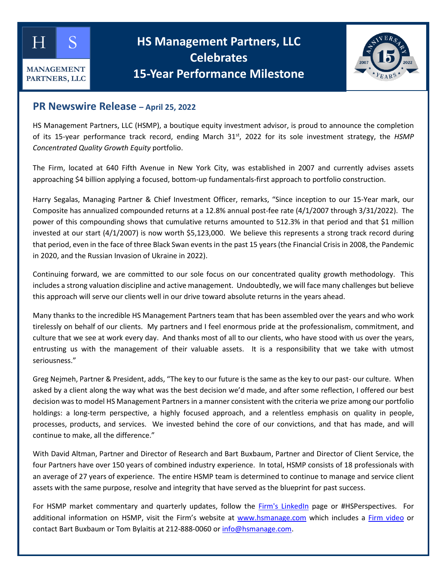

## **HS Management Partners, LLC Celebrates 15-Year Performance Milestone**



## **PR Newswire Release – April 25, 2022**

HS Management Partners, LLC (HSMP), a boutique equity investment advisor, is proud to announce the completion of its 15-year performance track record, ending March 31<sup>st</sup>, 2022 for its sole investment strategy, the *HSMP Concentrated Quality Growth Equity* portfolio.

The Firm, located at 640 Fifth Avenue in New York City, was established in 2007 and currently advises assets approaching \$4 billion applying a focused, bottom-up fundamentals-first approach to portfolio construction.

Harry Segalas, Managing Partner & Chief Investment Officer, remarks, "Since inception to our 15-Year mark, our Composite has annualized compounded returns at a 12.8% annual post-fee rate (4/1/2007 through 3/31/2022). The power of this compounding shows that cumulative returns amounted to 512.3% in that period and that \$1 million invested at our start (4/1/2007) is now worth \$5,123,000. We believe this represents a strong track record during that period, even in the face of three Black Swan events in the past 15 years (the Financial Crisis in 2008, the Pandemic in 2020, and the Russian Invasion of Ukraine in 2022).

Continuing forward, we are committed to our sole focus on our concentrated quality growth methodology. This includes a strong valuation discipline and active management. Undoubtedly, we will face many challenges but believe this approach will serve our clients well in our drive toward absolute returns in the years ahead.

Many thanks to the incredible HS Management Partners team that has been assembled over the years and who work tirelessly on behalf of our clients. My partners and I feel enormous pride at the professionalism, commitment, and culture that we see at work every day. And thanks most of all to our clients, who have stood with us over the years, entrusting us with the management of their valuable assets. It is a responsibility that we take with utmost seriousness."

Greg Nejmeh, Partner & President, adds, "The key to our future is the same as the key to our past- our culture. When asked by a client along the way what was the best decision we'd made, and after some reflection, I offered our best decision was to model HS Management Partners in a manner consistent with the criteria we prize among our portfolio holdings: a long-term perspective, a highly focused approach, and a relentless emphasis on quality in people, processes, products, and services. We invested behind the core of our convictions, and that has made, and will continue to make, all the difference."

With David Altman, Partner and Director of Research and Bart Buxbaum, Partner and Director of Client Service, the four Partners have over 150 years of combined industry experience. In total, HSMP consists of 18 professionals with an average of 27 years of experience. The entire HSMP team is determined to continue to manage and service client assets with the same purpose, resolve and integrity that have served as the blueprint for past success.

For HSMP market commentary and quarterly updates, follow the [Firm's LinkedIn](https://www.linkedin.com/company/hs-management-partners-llc/posts/?feedView=all&viewAsMember=true) page or #HSPerspectives. For additional information on HSMP, visit the Firm's website at [www.hsmanage.com](http://www.hsmanage.com/) which includes a [Firm video](https://www.hsmanage.com/at-our-core/) or contact Bart Buxbaum or Tom Bylaitis at 212-888-0060 or [info@hsmanage.com.](mailto:Info@hsmanage.com?subject=Additional%20Information%20Request)